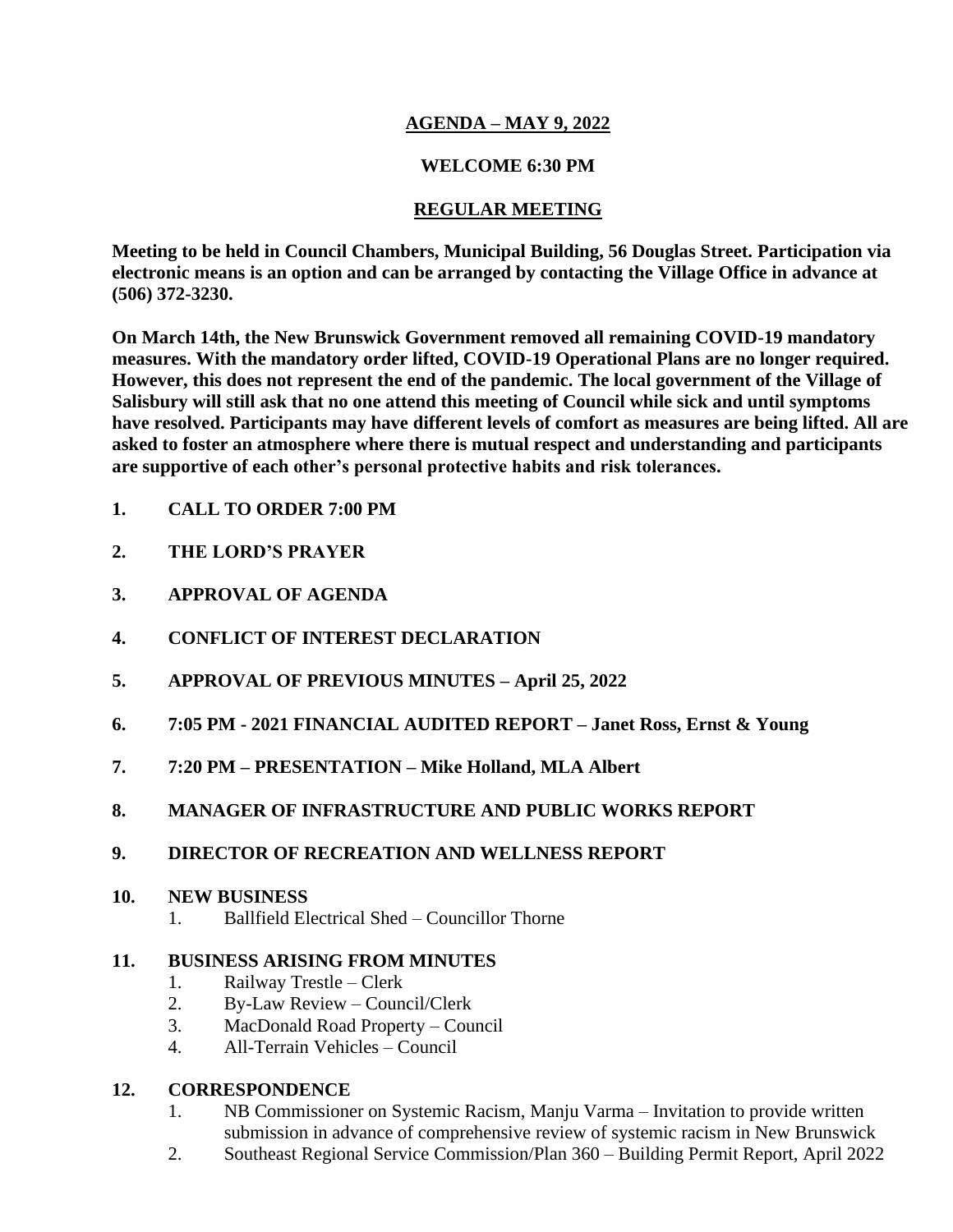## **AGENDA – MAY 9, 2022**

### **WELCOME 6:30 PM**

## **REGULAR MEETING**

**Meeting to be held in Council Chambers, Municipal Building, 56 Douglas Street. Participation via electronic means is an option and can be arranged by contacting the Village Office in advance at (506) 372-3230.**

**On March 14th, the New Brunswick Government removed all remaining COVID-19 mandatory measures. With the mandatory order lifted, COVID-19 Operational Plans are no longer required. However, this does not represent the end of the pandemic. The local government of the Village of Salisbury will still ask that no one attend this meeting of Council while sick and until symptoms have resolved. Participants may have different levels of comfort as measures are being lifted. All are asked to foster an atmosphere where there is mutual respect and understanding and participants are supportive of each other's personal protective habits and risk tolerances.**

- **1. CALL TO ORDER 7:00 PM**
- **2. THE LORD'S PRAYER**
- **3. APPROVAL OF AGENDA**
- **4. CONFLICT OF INTEREST DECLARATION**
- **5. APPROVAL OF PREVIOUS MINUTES – April 25, 2022**
- **6. 7:05 PM - 2021 FINANCIAL AUDITED REPORT – Janet Ross, Ernst & Young**
- **7. 7:20 PM – PRESENTATION – Mike Holland, MLA Albert**
- **8. MANAGER OF INFRASTRUCTURE AND PUBLIC WORKS REPORT**
- **9. DIRECTOR OF RECREATION AND WELLNESS REPORT**

### **10. NEW BUSINESS**

1. Ballfield Electrical Shed – Councillor Thorne

### **11. BUSINESS ARISING FROM MINUTES**

- 1. Railway Trestle Clerk
- 2. By-Law Review Council/Clerk
- 3. MacDonald Road Property Council
- 4. All-Terrain Vehicles Council

### **12. CORRESPONDENCE**

- 1. NB Commissioner on Systemic Racism, Manju Varma Invitation to provide written submission in advance of comprehensive review of systemic racism in New Brunswick
- 2. Southeast Regional Service Commission/Plan 360 Building Permit Report, April 2022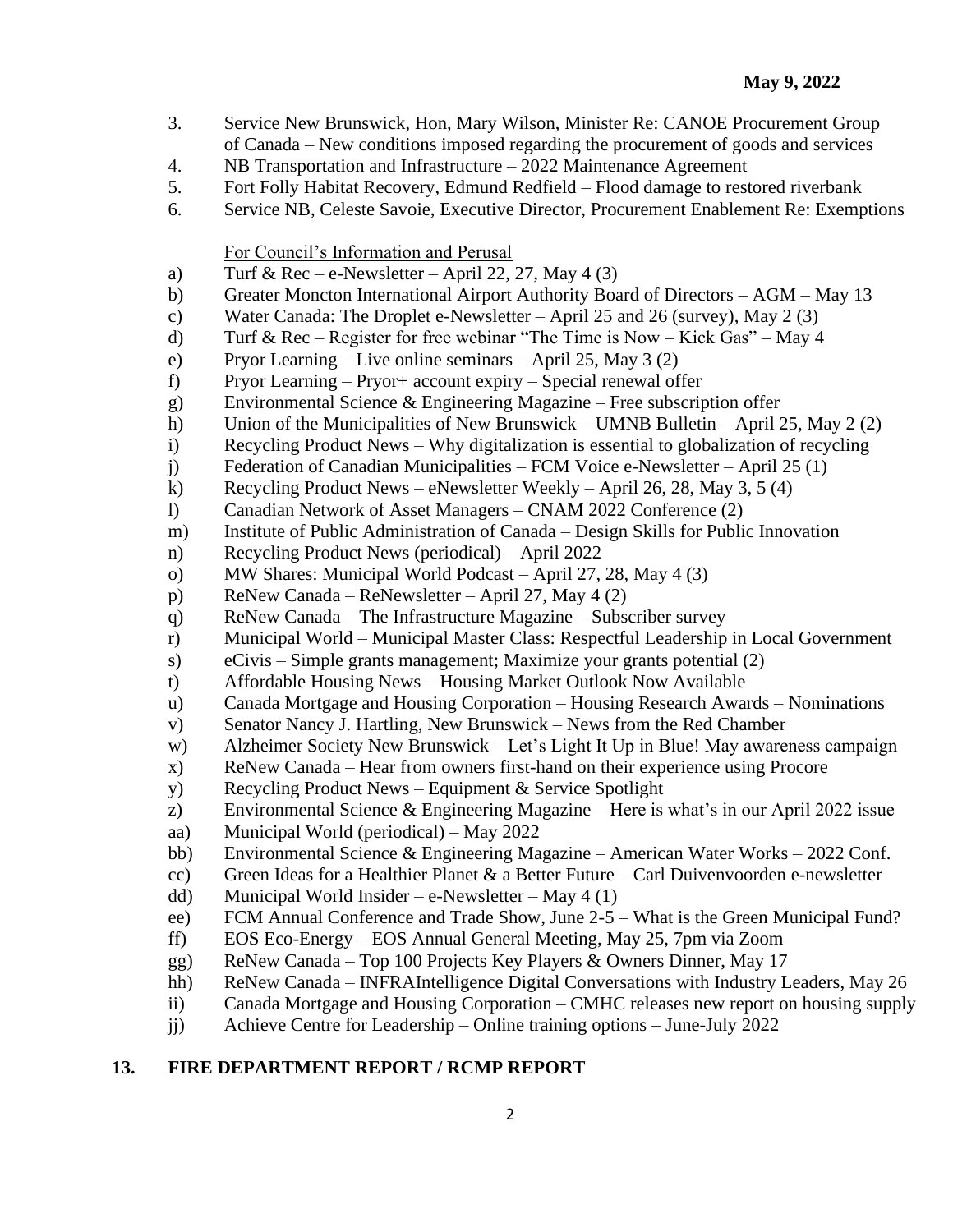- 3. Service New Brunswick, Hon, Mary Wilson, Minister Re: CANOE Procurement Group of Canada – New conditions imposed regarding the procurement of goods and services
- 4. NB Transportation and Infrastructure 2022 Maintenance Agreement
- 5. Fort Folly Habitat Recovery, Edmund Redfield Flood damage to restored riverbank
- 6. Service NB, Celeste Savoie, Executive Director, Procurement Enablement Re: Exemptions

For Council's Information and Perusal

- a) Turf & Rec e-Newsletter April 22, 27, May 4 (3)
- b) Greater Moncton International Airport Authority Board of Directors AGM May 13
- c) Water Canada: The Droplet e-Newsletter April 25 and 26 (survey), May 2 (3)
- d) Turf & Rec Register for free webinar "The Time is Now Kick Gas" May 4
- e) Pryor Learning Live online seminars April 25, May 3 (2)
- f) Pryor Learning Pryor+ account expiry Special renewal offer
- g) Environmental Science & Engineering Magazine Free subscription offer
- h) Union of the Municipalities of New Brunswick UMNB Bulletin April 25, May 2 (2)
- i) Recycling Product News Why digitalization is essential to globalization of recycling
- j) Federation of Canadian Municipalities FCM Voice e-Newsletter April 25 (1)
- k) Recycling Product News eNewsletter Weekly April 26, 28, May 3, 5 (4)
- l) Canadian Network of Asset Managers CNAM 2022 Conference (2)
- m) Institute of Public Administration of Canada Design Skills for Public Innovation
- n) Recycling Product News (periodical) April 2022
- o) MW Shares: Municipal World Podcast April 27, 28, May 4 (3)
- p) ReNew Canada ReNewsletter April 27, May 4 (2)
- q) ReNew Canada The Infrastructure Magazine Subscriber survey
- r) Municipal World Municipal Master Class: Respectful Leadership in Local Government
- s) eCivis Simple grants management; Maximize your grants potential (2)
- t) Affordable Housing News Housing Market Outlook Now Available
- u) Canada Mortgage and Housing Corporation Housing Research Awards Nominations
- v) Senator Nancy J. Hartling, New Brunswick News from the Red Chamber
- w) Alzheimer Society New Brunswick Let's Light It Up in Blue! May awareness campaign
- x) ReNew Canada Hear from owners first-hand on their experience using Procore
- y) Recycling Product News Equipment & Service Spotlight
- z) Environmental Science & Engineering Magazine Here is what's in our April 2022 issue
- aa) Municipal World (periodical) May 2022
- bb) Environmental Science & Engineering Magazine American Water Works 2022 Conf.
- cc) Green Ideas for a Healthier Planet  $\&$  a Better Future Carl Duivenvoorden e-newsletter
- dd) Municipal World Insider e-Newsletter May 4 (1)
- ee) FCM Annual Conference and Trade Show, June 2-5 What is the Green Municipal Fund?
- ff) EOS Eco-Energy EOS Annual General Meeting, May 25, 7pm via Zoom
- gg) ReNew Canada Top 100 Projects Key Players & Owners Dinner, May 17
- hh) ReNew Canada INFRAIntelligence Digital Conversations with Industry Leaders, May 26
- ii) Canada Mortgage and Housing Corporation CMHC releases new report on housing supply
- jj) Achieve Centre for Leadership Online training options June-July 2022

### **13. FIRE DEPARTMENT REPORT / RCMP REPORT**